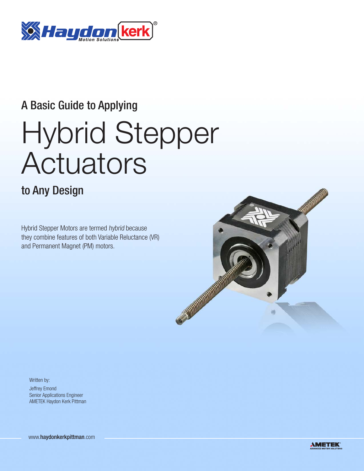

## A Basic Guide to Applying

# Hybrid Stepper Actuators

### to Any Design

Hybrid Stepper Motors are termed hybrid because they combine features of both Variable Reluctance (VR) and Permanent Magnet (PM) motors.



Written by: Jeffrey Emond Senior Applications Engineer AMETEK Haydon Kerk Pittman

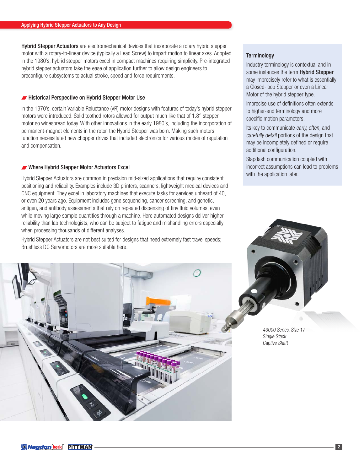Hybrid Stepper Actuators are electromechanical devices that incorporate a rotary hybrid stepper motor with a rotary-to-linear device (typically a Lead Screw) to impart motion to linear axes. Adopted in the 1980's, hybrid stepper motors excel in compact machines requiring simplicity. Pre-integrated hybrid stepper actuators take the ease of application further to allow design engineers to preconfigure subsystems to actual stroke, speed and force requirements.

#### **Historical Perspective on Hybrid Stepper Motor Use**

In the 1970's, certain Variable Reluctance (VR) motor designs with features of today's hybrid stepper motors were introduced. Solid toothed rotors allowed for output much like that of 1.8° stepper motor so widespread today. With other innovations in the early 1980's, including the incorporation of permanent-magnet elements in the rotor, the Hybrid Stepper was born. Making such motors function necessitated new chopper drives that included electronics for various modes of regulation and compensation.

#### Where Hybrid Stepper Motor Actuators Excel

Hybrid Stepper Actuators are common in precision mid-sized applications that require consistent positioning and reliability. Examples include 3D printers, scanners, lightweight medical devices and CNC equipment. They excel in laboratory machines that execute tasks for services unheard of 40, or even 20 years ago. Equipment includes gene sequencing, cancer screening, and genetic, antigen, and antibody assessments that rely on repeated dispensing of tiny fluid volumes, even while moving large sample quantities through a machine. Here automated designs deliver higher reliability than lab technologists, who can be subject to fatigue and mishandling errors especially when processing thousands of different analyses.

Hybrid Stepper Actuators are not best suited for designs that need extremely fast travel speeds; Brushless DC Servomotors are more suitable here.

#### **Terminology**

Industry terminology is contextual and in some instances the term **Hybrid Stepper** may imprecisely refer to what is essentially a Closed-loop Stepper or even a Linear Motor of the hybrid stepper type.

Imprecise use of definitions often extends to higher-end terminology and more specific motion parameters.

Its key to communicate early, often, and carefully detail portions of the design that may be incompletely defined or require additional configuration.

Slapdash communication coupled with incorrect assumptions can lead to problems with the application later.



43000 Series, Size 17 Single Stack Captive Shaft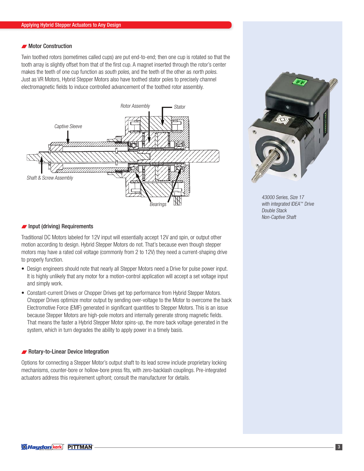#### **Motor Construction**

Twin toothed rotors (sometimes called cups) are put end-to-end; then one cup is rotated so that the tooth array is slightly offset from that of the first cup. A magnet inserted through the rotor's center makes the teeth of one cup function as south poles, and the teeth of the other as north poles. Just as VR Motors, Hybrid Stepper Motors also have toothed stator poles to precisely channel electromagnetic fields to induce controlled advancement of the toothed rotor assembly.





43000 Series, Size 17 with integrated IDEA™ Drive Double Stack Non-Captive Shaft

#### $\blacksquare$  Input (driving) Requirements

Traditional DC Motors labeled for 12V input will essentially accept 12V and spin, or output other motion according to design. Hybrid Stepper Motors do not. That's because even though stepper motors may have a rated coil voltage (commonly from 2 to 12V) they need a current-shaping drive to properly function.

- Design engineers should note that nearly all Stepper Motors need a Drive for pulse power input. It is highly unlikely that any motor for a motion-control application will accept a set voltage input and simply work.
- Constant-current Drives or Chopper Drives get top performance from Hybrid Stepper Motors. Chopper Drives optimize motor output by sending over-voltage to the Motor to overcome the back Electromotive Force (EMF) generated in significant quantities to Stepper Motors. This is an issue because Stepper Motors are high-pole motors and internally generate strong magnetic fields. That means the faster a Hybrid Stepper Motor spins-up, the more back voltage generated in the system, which in turn degrades the ability to apply power in a timely basis.

#### **Rotary-to-Linear Device Integration**

Options for connecting a Stepper Motor's output shaft to its lead screw include proprietary locking mechanisms, counter-bore or hollow-bore press fits, with zero-backlash couplings. Pre-integrated actuators address this requirement upfront; consult the manufacturer for details.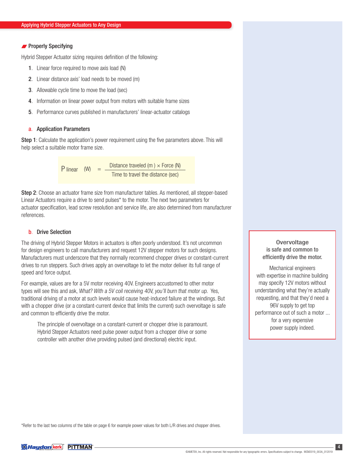#### **Properly Specifying**

Hybrid Stepper Actuator sizing requires definition of the following:

- 1. Linear force required to move axis load (N)
- 2. Linear distance axis' load needs to be moved (m)
- 3. Allowable cycle time to move the load (sec)
- 4. Information on linear power output from motors with suitable frame sizes
- 5. Performance curves published in manufacturers' linear-actuator catalogs

#### a. Application Parameters

Step 1: Calculate the application's power requirement using the five parameters above. This will help select a suitable motor frame size.

> P linear  $(W) =$  Distance traveled  $(m) \times$  Force  $(N)$ Time to travel the distance (sec)

Step 2: Choose an actuator frame size from manufacturer tables. As mentioned, all stepper-based Linear Actuators require a drive to send pulses\* to the motor. The next two parameters for actuator specification, lead screw resolution and service life, are also determined from manufacturer references.

#### b. Drive Selection

The driving of Hybrid Stepper Motors in actuators is often poorly understood. It's not uncommon for design engineers to call manufacturers and request 12V stepper motors for such designs. Manufacturers must underscore that they normally recommend chopper drives or constant-current drives to run steppers. Such drives apply an overvoltage to let the motor deliver its full range of speed and force output.

For example, values are for a 5V motor receiving 40V. Engineers accustomed to other motor types will see this and ask, What? With a 5V coil receiving 40V, you'll burn that motor up. Yes, traditional driving of a motor at such levels would cause heat-induced failure at the windings. But with a chopper drive (or a constant-current device that limits the current) such overvoltage is safe and common to efficiently drive the motor.

The principle of overvoltage on a constant-current or chopper drive is paramount. Hybrid Stepper Actuators need pulse power output from a chopper drive or some controller with another drive providing pulsed (and directional) electric input.

**Overvoltage** is safe and common to efficiently drive the motor.

Mechanical engineers with expertise in machine building may specify 12V motors without understanding what they're actually requesting, and that they'd need a 96V supply to get top performance out of such a motor ... for a very expensive power supply indeed.

\*Refer to the last two columns of the table on page 6 for example power values for both L/R drives and chopper drives.

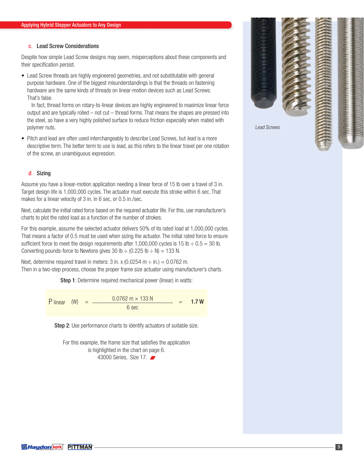#### c. Lead Screw Considerations

Despite how simple Lead Screw designs may seem, misperceptions about these components and their specification persist.

• Lead Screw threads are highly engineered geometries, and not substitutable with general purpose hardware. One of the biggest misunderstandings is that the threads on fastening hardware are the same kinds of threads on linear-motion devices such as Lead Screws. That's false.

 In fact, thread forms on rotary-to-linear devices are highly engineered to maximize linear force output and are typically rolled – not cut – thread forms. That means the shapes are pressed into the steel, so have a very highly polished surface to reduce friction especially when mated with polymer nuts.

• Pitch and lead are often used interchangeably to describe Lead Screws, but lead is a more descriptive term. The better term to use is lead, as this refers to the linear travel per one rotation of the screw, an unambiguous expression.

#### d. Sizing

Assume you have a linear-motion application needing a linear force of 15 lb over a travel of 3 in. Target design life is 1,000,000 cycles. The actuator must execute this stroke within 6 sec. That makes for a linear velocity of 3 in. in 6 sec, or 0.5 in./sec.

Next, calculate the initial rated force based on the required actuator life. For this, use manufacturer's charts to plot the rated load as a function of the number of strokes.

For this example, assume the selected actuator delivers 50% of its rated load at 1,000,000 cycles. That means a factor of 0.5 must be used when sizing the actuator. The initial rated force to ensure sufficient force to meet the design requirements after 1,000,000 cycles is 15 lb  $\div$  0.5 = 30 lb. Converting pounds-force to Newtons gives 30 lb  $\div$  (0.225 lb  $\div$  N) = 133 N.

Next, determine required travel in meters: 3 in. x (0.0254 m  $\div$  in.) = 0.0762 m. Then in a two-step process, choose the proper frame size actuator using manufacturer's charts.

Step 1: Determine required mechanical power (linear) in watts:

P linear  $(W) = \frac{0.0762 \text{ m} \times 133 \text{ N}}{4.7 \text{ W}} = 1.7 \text{ W}$ 6 sec

Step 2: Use performance charts to identify actuators of suitable size.

For this example, the frame size that satisfies the application is highlighted in the chart on page 6. 43000 Series, Size 17.



Lead Screws